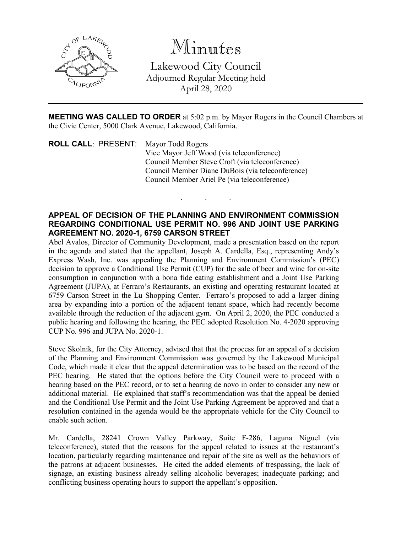

Minutes Lakewood City Council Adjourned Regular Meeting held April 28, 2020

**MEETING WAS CALLED TO ORDER** at 5:02 p.m. by Mayor Rogers in the Council Chambers at the Civic Center, 5000 Clark Avenue, Lakewood, California.

. . .

**ROLL CALL**: PRESENT: Mayor Todd Rogers Vice Mayor Jeff Wood (via teleconference) Council Member Steve Croft (via teleconference) Council Member Diane DuBois (via teleconference) Council Member Ariel Pe (via teleconference)

## **APPEAL OF DECISION OF THE PLANNING AND ENVIRONMENT COMMISSION REGARDING CONDITIONAL USE PERMIT NO. 996 AND JOINT USE PARKING AGREEMENT NO. 2020-1, 6759 CARSON STREET**

Abel Avalos, Director of Community Development, made a presentation based on the report in the agenda and stated that the appellant, Joseph A. Cardella, Esq., representing Andy's Express Wash, Inc. was appealing the Planning and Environment Commission's (PEC) decision to approve a Conditional Use Permit (CUP) for the sale of beer and wine for on-site consumption in conjunction with a bona fide eating establishment and a Joint Use Parking Agreement (JUPA), at Ferraro's Restaurants, an existing and operating restaurant located at 6759 Carson Street in the Lu Shopping Center. Ferraro's proposed to add a larger dining area by expanding into a portion of the adjacent tenant space, which had recently become available through the reduction of the adjacent gym. On April 2, 2020, the PEC conducted a public hearing and following the hearing, the PEC adopted Resolution No. 4-2020 approving CUP No. 996 and JUPA No. 2020-1.

Steve Skolnik, for the City Attorney, advised that that the process for an appeal of a decision of the Planning and Environment Commission was governed by the Lakewood Municipal Code, which made it clear that the appeal determination was to be based on the record of the PEC hearing. He stated that the options before the City Council were to proceed with a hearing based on the PEC record, or to set a hearing de novo in order to consider any new or additional material. He explained that staff's recommendation was that the appeal be denied and the Conditional Use Permit and the Joint Use Parking Agreement be approved and that a resolution contained in the agenda would be the appropriate vehicle for the City Council to enable such action.

Mr. Cardella, 28241 Crown Valley Parkway, Suite F-286, Laguna Niguel (via teleconference), stated that the reasons for the appeal related to issues at the restaurant's location, particularly regarding maintenance and repair of the site as well as the behaviors of the patrons at adjacent businesses. He cited the added elements of trespassing, the lack of signage, an existing business already selling alcoholic beverages; inadequate parking; and conflicting business operating hours to support the appellant's opposition.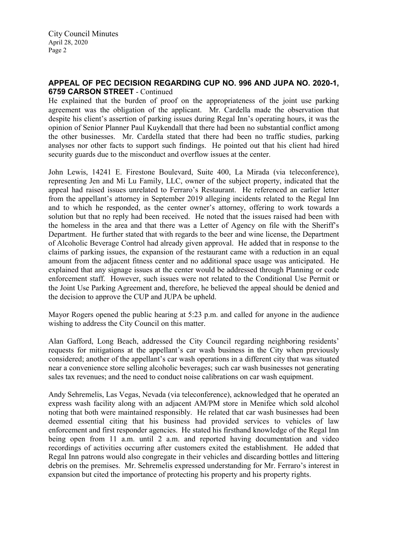City Council Minutes April 28, 2020 Page 2

## **APPEAL OF PEC DECISION REGARDING CUP NO. 996 AND JUPA NO. 2020-1, 6759 CARSON STREET** - Continued

He explained that the burden of proof on the appropriateness of the joint use parking agreement was the obligation of the applicant. Mr. Cardella made the observation that despite his client's assertion of parking issues during Regal Inn's operating hours, it was the opinion of Senior Planner Paul Kuykendall that there had been no substantial conflict among the other businesses. Mr. Cardella stated that there had been no traffic studies, parking analyses nor other facts to support such findings. He pointed out that his client had hired security guards due to the misconduct and overflow issues at the center.

John Lewis, 14241 E. Firestone Boulevard, Suite 400, La Mirada (via teleconference), representing Jen and Mi Lu Family, LLC, owner of the subject property, indicated that the appeal had raised issues unrelated to Ferraro's Restaurant. He referenced an earlier letter from the appellant's attorney in September 2019 alleging incidents related to the Regal Inn and to which he responded, as the center owner's attorney, offering to work towards a solution but that no reply had been received. He noted that the issues raised had been with the homeless in the area and that there was a Letter of Agency on file with the Sheriff's Department. He further stated that with regards to the beer and wine license, the Department of Alcoholic Beverage Control had already given approval. He added that in response to the claims of parking issues, the expansion of the restaurant came with a reduction in an equal amount from the adjacent fitness center and no additional space usage was anticipated. He explained that any signage issues at the center would be addressed through Planning or code enforcement staff. However, such issues were not related to the Conditional Use Permit or the Joint Use Parking Agreement and, therefore, he believed the appeal should be denied and the decision to approve the CUP and JUPA be upheld.

Mayor Rogers opened the public hearing at 5:23 p.m. and called for anyone in the audience wishing to address the City Council on this matter.

Alan Gafford, Long Beach, addressed the City Council regarding neighboring residents' requests for mitigations at the appellant's car wash business in the City when previously considered; another of the appellant's car wash operations in a different city that was situated near a convenience store selling alcoholic beverages; such car wash businesses not generating sales tax revenues; and the need to conduct noise calibrations on car wash equipment.

Andy Sehremelis, Las Vegas, Nevada (via teleconference), acknowledged that he operated an express wash facility along with an adjacent AM/PM store in Menifee which sold alcohol noting that both were maintained responsibly. He related that car wash businesses had been deemed essential citing that his business had provided services to vehicles of law enforcement and first responder agencies. He stated his firsthand knowledge of the Regal Inn being open from 11 a.m. until 2 a.m. and reported having documentation and video recordings of activities occurring after customers exited the establishment. He added that Regal Inn patrons would also congregate in their vehicles and discarding bottles and littering debris on the premises. Mr. Sehremelis expressed understanding for Mr. Ferraro's interest in expansion but cited the importance of protecting his property and his property rights.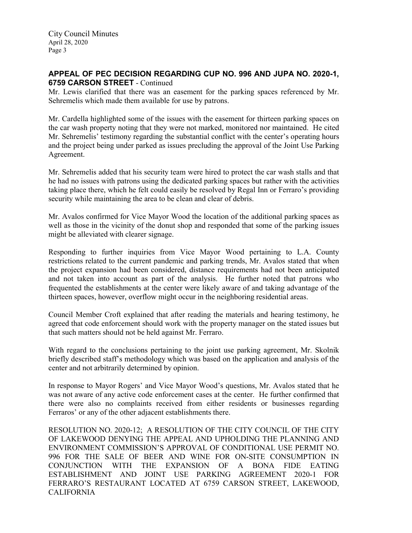City Council Minutes April 28, 2020 Page 3

# **APPEAL OF PEC DECISION REGARDING CUP NO. 996 AND JUPA NO. 2020-1, 6759 CARSON STREET** - Continued

Mr. Lewis clarified that there was an easement for the parking spaces referenced by Mr. Sehremelis which made them available for use by patrons.

Mr. Cardella highlighted some of the issues with the easement for thirteen parking spaces on the car wash property noting that they were not marked, monitored nor maintained. He cited Mr. Sehremelis' testimony regarding the substantial conflict with the center's operating hours and the project being under parked as issues precluding the approval of the Joint Use Parking Agreement.

Mr. Sehremelis added that his security team were hired to protect the car wash stalls and that he had no issues with patrons using the dedicated parking spaces but rather with the activities taking place there, which he felt could easily be resolved by Regal Inn or Ferraro's providing security while maintaining the area to be clean and clear of debris.

Mr. Avalos confirmed for Vice Mayor Wood the location of the additional parking spaces as well as those in the vicinity of the donut shop and responded that some of the parking issues might be alleviated with clearer signage.

Responding to further inquiries from Vice Mayor Wood pertaining to L.A. County restrictions related to the current pandemic and parking trends, Mr. Avalos stated that when the project expansion had been considered, distance requirements had not been anticipated and not taken into account as part of the analysis. He further noted that patrons who frequented the establishments at the center were likely aware of and taking advantage of the thirteen spaces, however, overflow might occur in the neighboring residential areas.

Council Member Croft explained that after reading the materials and hearing testimony, he agreed that code enforcement should work with the property manager on the stated issues but that such matters should not be held against Mr. Ferraro.

With regard to the conclusions pertaining to the joint use parking agreement, Mr. Skolnik briefly described staff's methodology which was based on the application and analysis of the center and not arbitrarily determined by opinion.

In response to Mayor Rogers' and Vice Mayor Wood's questions, Mr. Avalos stated that he was not aware of any active code enforcement cases at the center. He further confirmed that there were also no complaints received from either residents or businesses regarding Ferraros' or any of the other adjacent establishments there.

RESOLUTION NO. 2020-12; A RESOLUTION OF THE CITY COUNCIL OF THE CITY OF LAKEWOOD DENYING THE APPEAL AND UPHOLDING THE PLANNING AND ENVIRONMENT COMMISSION'S APPROVAL OF CONDITIONAL USE PERMIT NO. 996 FOR THE SALE OF BEER AND WINE FOR ON-SITE CONSUMPTION IN CONJUNCTION WITH THE EXPANSION OF A BONA FIDE EATING ESTABLISHMENT AND JOINT USE PARKING AGREEMENT 2020-1 FOR FERRARO'S RESTAURANT LOCATED AT 6759 CARSON STREET, LAKEWOOD, CALIFORNIA